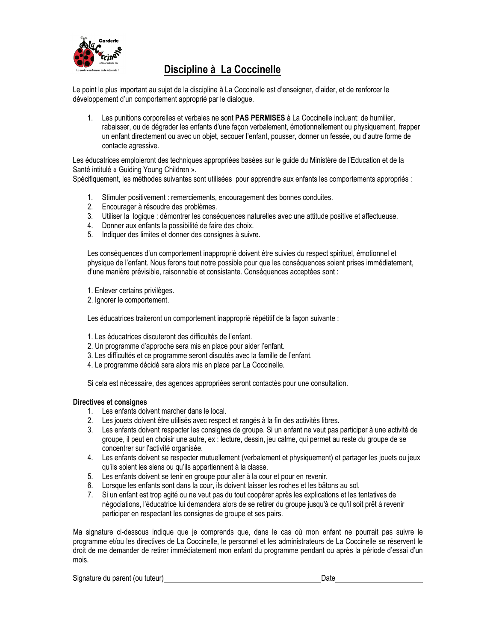

## **Discipline à La Coccinelle**

Le point le plus important au sujet de la discipline à La Coccinelle est d'enseigner, d'aider, et de renforcer le développement d'un comportement approprié par le dialogue.

1. Les punitions corporelles et verbales ne sont **PAS PERMISES** à La Coccinelle incluant: de humilier, rabaisser, ou de dégrader les enfants d'une façon verbalement, émotionnellement ou physiquement, frapper un enfant directement ou avec un objet, secouer l'enfant, pousser, donner un fessée, ou d'autre forme de contacte agressive.

Les éducatrices emploieront des techniques appropriées basées sur le guide du Ministère de l'Education et de la Santé intitulé « Guiding Young Children ».

Spécifiquement, les méthodes suivantes sont utilisées pour apprendre aux enfants les comportements appropriés :

- 1. Stimuler positivement : remerciements, encouragement des bonnes conduites.
- 2. Encourager à résoudre des problèmes.
- 3. Utiliser la logique : démontrer les conséquences naturelles avec une attitude positive et affectueuse.
- 4. Donner aux enfants la possibilité de faire des choix.
- 5. Indiquer des limites et donner des consignes à suivre.

Les conséquences d'un comportement inapproprié doivent être suivies du respect spirituel, émotionnel et physique de l'enfant. Nous ferons tout notre possible pour que les conséquences soient prises immédiatement, d'une manière prévisible, raisonnable et consistante. Conséquences acceptées sont :

1. Enlever certains privilèges.

2. Ignorer le comportement.

Les éducatrices traiteront un comportement inapproprié répétitif de la façon suivante :

- 1. Les éducatrices discuteront des difficultés de l'enfant.
- 2. Un programme d'approche sera mis en place pour aider l'enfant.
- 3. Les difficultés et ce programme seront discutés avec la famille de l'enfant.
- 4. Le programme décidé sera alors mis en place par La Coccinelle.

Si cela est nécessaire, des agences appropriées seront contactés pour une consultation.

### **Directives et consignes**

- 1. Les enfants doivent marcher dans le local.
- 2. Les jouets doivent être utilisés avec respect et rangés à la fin des activités libres.
- 3. Les enfants doivent respecter les consignes de groupe. Si un enfant ne veut pas participer à une activité de groupe, il peut en choisir une autre, ex : lecture, dessin, jeu calme, qui permet au reste du groupe de se concentrer sur l'activité organisée.
- 4. Les enfants doivent se respecter mutuellement (verbalement et physiquement) et partager les jouets ou jeux qu'ils soient les siens ou qu'ils appartiennent à la classe.
- 5. Les enfants doivent se tenir en groupe pour aller à la cour et pour en revenir.
- 6. Lorsque les enfants sont dans la cour, ils doivent laisser les roches et les bâtons au sol.
- 7. Si un enfant est trop agité ou ne veut pas du tout coopérer après les explications et les tentatives de négociations, l'éducatrice lui demandera alors de se retirer du groupe jusqu'à ce qu'il soit prêt à revenir participer en respectant les consignes de groupe et ses pairs.

Ma signature ci-dessous indique que je comprends que, dans le cas où mon enfant ne pourrait pas suivre le programme et/ou les directives de La Coccinelle, le personnel et les administrateurs de La Coccinelle se réservent le droit de me demander de retirer immédiatement mon enfant du programme pendant ou après la période d'essai d'un mois.